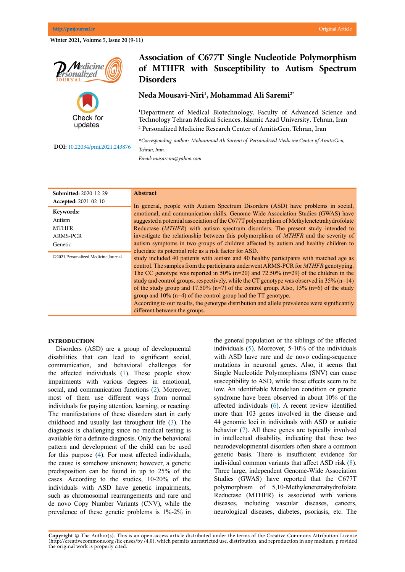**Winter 2021, Volume 5, Issue 20 (9-11)**

**Association of C677T Single Nucleotide Polymorphism of MTHFR with Susceptibility to Autism Spectrum Disorders**

**Neda Mousavi-Niri<sup>1</sup> , Mohammad Ali Saremi2\***

**<sup>1</sup>**Department of Medical Biotechnology, Faculty of Advanced Science and Technology Tehran Medical Sciences, Islamic Azad University, Tehran, Iran 2 Personalized Medicine Research Center of AmitisGen, Tehran, Iran

**\****Corresponding author: Mohammad Ali Saremi of Personalized Medicine Center of Amitis*G*en,* 

**DOI[:](http://www.pmjournal.ir/article_43457.html)** 10.22034/pmj.2021.243876

*Email: masaremi@yahoo.com*

*Tehran, Iran.*

| <b>Submitted: 2020-12-29</b>        | <b>Abstract</b>                                                                                |
|-------------------------------------|------------------------------------------------------------------------------------------------|
| Accepted: 2021-02-10                | In general, people with Autism Spectrum Disorders (ASD) have problems in social,               |
| Keywords:                           | emotional, and communication skills. Genome-Wide Association Studies (GWAS) have               |
| Autism                              | suggested a potential association of the C677T polymorphism of Methylenetetrahydrofolate       |
| <b>MTHFR</b>                        | Reductase (MTHFR) with autism spectrum disorders. The present study intended to                |
| ARMS-PCR                            | investigate the relationship between this polymorphism of MTHFR and the severity of            |
| Genetic                             | autism symptoms in two groups of children affected by autism and healthy children to           |
|                                     | elucidate its potential role as a risk factor for ASD.                                         |
| ©2021.Personalized Medicine Journal | study included 40 patients with autism and 40 healthy participants with matched age as         |
|                                     | control. The samples from the participants underwent ARMS-PCR for <i>MTHFR</i> genotyping.     |
|                                     | The CC genotype was reported in 50% ( $n=20$ ) and 72.50% ( $n=29$ ) of the children in the    |
|                                     | study and control groups, respectively, while the CT genotype was observed in $35\%$ (n=14)    |
|                                     | of the study group and 17.50% ( $n=7$ ) of the control group. Also, 15% ( $n=6$ ) of the study |
|                                     | group and $10\%$ (n=4) of the control group had the TT genotype.                               |
|                                     | According to our results, the genotype distribution and allele prevalence were significantly   |
|                                     | different between the groups.                                                                  |

#### **Introduction**

Disorders (ASD) are a group of developmental disabilities that can lead to significant social, communication, and behavioral challenges for the affected individuals ([1](#page-2-0)). These people show impairments with various degrees in emotional, social, and communication functions ([2\)](#page-2-0). Moreover, most of them use different ways from normal individuals for paying attention, learning, or reacting. The manifestations of these disorders start in early childhood and usually last throughout life ([3\)](#page-2-0). The diagnosis is challenging since no medical testing is available for a definite diagnosis. Only the behavioral pattern and development of the child can be used for this purpose [\(4](#page-2-0)). For most affected individuals, the cause is somehow unknown; however, a genetic predisposition can be found in up to 25% of the cases. According to the studies, 10-20% of the individuals with ASD have genetic impairments, such as chromosomal rearrangements and rare and de novo Copy Number Variants (CNV), while the prevalence of these genetic problems is 1%-2% in the general population or the siblings of the affected individuals [\(5\)](#page-2-0). Moreover, 5-10% of the individuals with ASD have rare and de novo coding-sequence mutations in neuronal genes. Also, it seems that Single Nucleotide Polymorphisms (SNV) can cause susceptibility to ASD, while these effects seem to be low. An identifiable Mendelian condition or genetic syndrome have been observed in about 10% of the affected individuals ([6](#page-2-0)). A recent review identified more than 103 genes involved in the disease and 44 genomic loci in individuals with ASD or autistic behavior [\(7\)](#page-2-0). All these genes are typically involved in intellectual disability, indicating that these two neurodevelopmental disorders often share a common genetic basis. There is insufficient evidence for individual common variants that affect ASD risk ([8\)](#page-2-0). Three large, independent Genome-Wide Association Studies (GWAS) have reported that the C677T polymorphism of 5,10-Methylenetetrahydrofolate Reductase (MTHFR) is associated with various diseases, including vascular diseases, cancers, neurological diseases, diabetes, psoriasis, etc. The

# **N**edicine sonalized

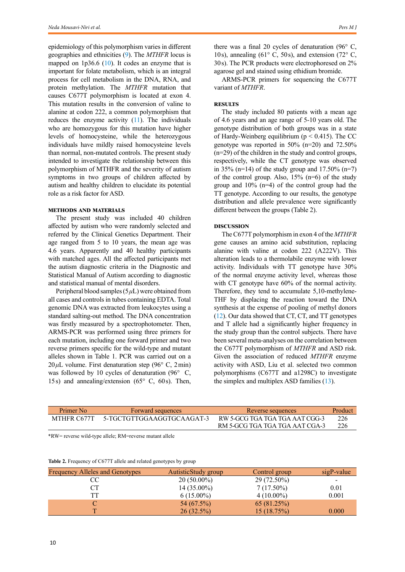epidemiology of this polymorphism varies in different geographies and ethnicities ([9\)](#page-2-0). The *MTHFR* locus is mapped on  $1p36.6$  [\(10](#page-2-0)). It codes an enzyme that is important for folate metabolism, which is an integral process for cell metabolism in the DNA, RNA, and protein methylation. The *MTHFR* mutation that causes C677T polymorphism is located at exon 4. This mutation results in the conversion of valine to alanine at codon 222, a common polymorphism that reduces the enzyme activity ([11\)](#page-2-0). The individuals who are homozygous for this mutation have higher levels of homocysteine, while the heterozygous individuals have mildly raised homocysteine levels than normal, non-mutated controls. The present study intended to investigate the relationship between this polymorphism of MTHFR and the severity of autism symptoms in two groups of children affected by autism and healthy children to elucidate its potential role as a risk factor for ASD.

## **Methods and materials**

The present study was included 40 children affected by autism who were randomly selected and referred by the Clinical Genetics Department. Their age ranged from 5 to 10 years, the mean age was 4.6 years. Apparently and 40 healthy participants with matched ages. All the affected participants met the autism diagnostic criteria in the Diagnostic and Statistical Manual of Autism according to diagnostic and statistical manual of mental disorders.

Peripheral blood samples (5*μ*L) were obtained from all cases and controls in tubes containing EDTA. Total genomic DNA was extracted from leukocytes using a standard salting-out method. The DNA concentration was firstly measured by a spectrophotometer. Then, ARMS-PCR was performed using three primers for each mutation, including one forward primer and two reverse primers specific for the wild-type and mutant alleles shown in Table 1. PCR was carried out on a  $20 \mu L$  volume. First denaturation step (96 $\degree$  C, 2min) was followed by 10 cycles of denaturation (96° C, 15s) and annealing/extension ( $65^\circ$  C,  $60$ s). Then,

there was a final 20 cycles of denaturation (96 $\degree$  C, 10s), annealing (61 $\degree$  C, 50s), and extension (72 $\degree$  C, 30s). The PCR products were electrophoresed on 2% agarose gel and stained using ethidium bromide.

ARMS-PCR primers for sequencing the C677T variant of *MTHFR*.

### **RESULTS**

The study included 80 patients with a mean age of 4.6 years and an age range of 5-10 years old. The genotype distribution of both groups was in a state of Hardy-Weinberg equilibrium ( $p < 0.415$ ). The CC genotype was reported in 50% (n=20) and 72.50% (n=29) of the children in the study and control groups, respectively, while the CT genotype was observed in 35% (n=14) of the study group and 17.50% (n=7) of the control group. Also,  $15\%$  (n=6) of the study group and 10% (n=4) of the control group had the TT genotype. According to our results, the genotype distribution and allele prevalence were significantly different between the groups (Table 2).

## **Discussion**

The C677T polymorphism in exon 4 of the *MTHFR* gene causes an amino acid substitution, replacing alanine with valine at codon 222 (A222V). This alteration leads to a thermolabile enzyme with lower activity. Individuals with TT genotype have 30% of the normal enzyme activity level, whereas those with CT genotype have  $60\%$  of the normal activity. Therefore, they tend to accumulate 5,10-methylene-THF by displacing the reaction toward the DNA synthesis at the expense of pooling of methyl donors ([12](#page-2-0)). Our data showed that CT, CT, and TT genotypes and T allele had a significantly higher frequency in the study group than the control subjects. There have been several meta-analyses on the correlation between the C677T polymorphism of *MTHFR* and ASD risk. Given the association of reduced *MTHFR* enzyme activity with ASD, Liu et al. selected two common polymorphisms (C677T and a1298C) to investigate the simplex and multiplex ASD families [\(13](#page-2-0)).

| Primer No   | Forward sequences         | Reverse sequences              | Product |
|-------------|---------------------------|--------------------------------|---------|
| MTHFR C677T | 5-TGCTGTTGGAAGGTGCAAGAT-3 | RW 5-GCG TGA TGA TGA AAT CGG-3 | 226     |
|             |                           | RM 5-GCG TGA TGA TGA AAT CGA-3 | 226     |

\*RW= reverse wild-type allele; RM=reverse mutant allele

|  | Table 2. Frequency of C677T allele and related genotypes by group |  |
|--|-------------------------------------------------------------------|--|
|  |                                                                   |  |

| Frequency Alleles and Genotypes | AutisticStudy group | Control group | $sigP-value$             |
|---------------------------------|---------------------|---------------|--------------------------|
| CC                              | $20(50.00\%)$       | 29 (72.50%)   | $\overline{\phantom{a}}$ |
| CТ                              | $14(35.00\%)$       | $7(17.50\%)$  | 0.01                     |
| TT                              | $6(15.00\%)$        | $4(10.00\%)$  | 0.001                    |
|                                 | 54 (67.5%)          | 65 (81.25%)   |                          |
|                                 | $26(32.5\%)$        | 15(18.75%)    | 0.000                    |